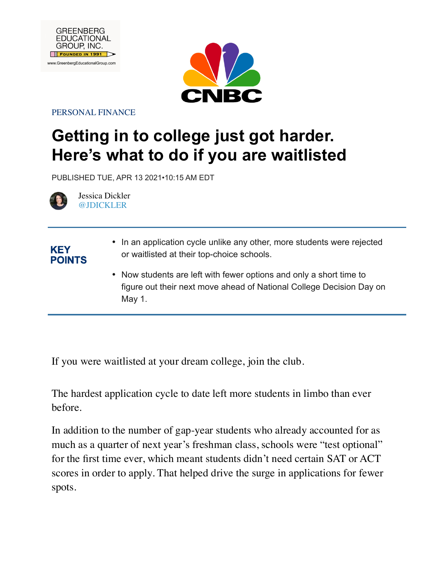



PERSONAL FINANCE

# **Getting in to college just got harder. Here's what to do if you are waitlisted**

PUBLISHED TUE, APR 13 2021•10:15 AM EDT



**KEY POINTS** 

Jessica Dickler @JDICKLER

- In an application cycle unlike any other, more students were rejected or waitlisted at their top-choice schools.
	- Now students are left with fewer options and only a short time to figure out their next move ahead of National College Decision Day on May 1.

If you were waitlisted at your dream college, join the club.

The hardest application cycle to date left more students in limbo than ever before.

In addition to the number of gap-year students who already accounted for as much as a quarter of next year's freshman class, schools were "test optional" for the first time ever, which meant students didn't need certain SAT or ACT scores in order to apply. That helped drive the surge in applications for fewer spots.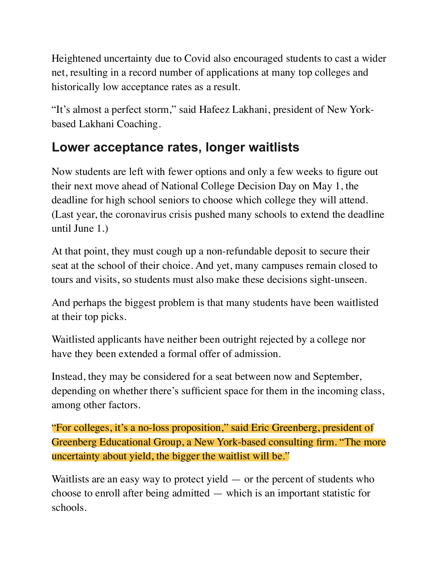Heightened uncertainty due to Covid also encouraged students to cast a wider net, resulting in a record number of applications at many top colleges and historically low acceptance rates as a result.

"It's almost a perfect storm," said Hafeez Lakhani, president of New Yorkbased Lakhani Coaching.

#### **Lower acceptance rates, longer waitlists**

Now students are left with fewer options and only a few weeks to figure out their next move ahead of National College Decision Day on May 1, the deadline for high school seniors to choose which college they will attend. (Last year, the coronavirus crisis pushed many schools to extend the deadline until June 1.)

At that point, they must cough up a non-refundable deposit to secure their seat at the school of their choice. And yet, many campuses remain closed to tours and visits, so students must also make these decisions sight-unseen.

And perhaps the biggest problem is that many students have been waitlisted at their top picks.

Waitlisted applicants have neither been outright rejected by a college nor have they been extended a formal offer of admission.

Instead, they may be considered for a seat between now and September, depending on whether there's sufficient space for them in the incoming class, among other factors.

"For colleges, it's a no-loss proposition," said Eric Greenberg, president of Greenberg Educational Group, a New York-based consulting firm. "The more uncertainty about yield, the bigger the waitlist will be."

Waitlists are an easy way to protect yield  $-$  or the percent of students who choose to enroll after being admitted — which is an important statistic for schools.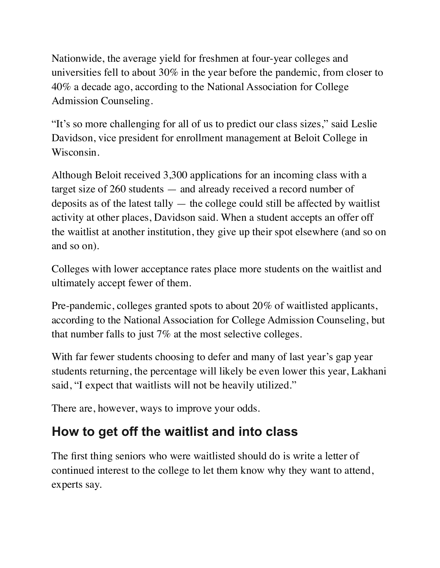Nationwide, the average yield for freshmen at four-year colleges and universities fell to about 30% in the year before the pandemic, from closer to 40% a decade ago, according to the National Association for College Admission Counseling.

"It's so more challenging for all of us to predict our class sizes," said Leslie Davidson, vice president for enrollment management at Beloit College in Wisconsin.

Although Beloit received 3,300 applications for an incoming class with a target size of 260 students — and already received a record number of deposits as of the latest tally  $-$  the college could still be affected by waitlist activity at other places, Davidson said. When a student accepts an offer off the waitlist at another institution, they give up their spot elsewhere (and so on and so on).

Colleges with lower acceptance rates place more students on the waitlist and ultimately accept fewer of them.

Pre-pandemic, colleges granted spots to about 20% of waitlisted applicants, according to the National Association for College Admission Counseling, but that number falls to just 7% at the most selective colleges.

With far fewer students choosing to defer and many of last year's gap year students returning, the percentage will likely be even lower this year, Lakhani said, "I expect that waitlists will not be heavily utilized."

There are, however, ways to improve your odds.

### **How to get off the waitlist and into class**

The first thing seniors who were waitlisted should do is write a letter of continued interest to the college to let them know why they want to attend, experts say.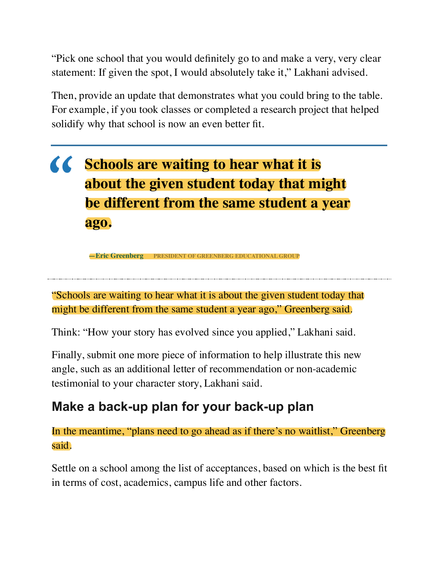"Pick one school that you would definitely go to and make a very, very clear statement: If given the spot, I would absolutely take it," Lakhani advised.

Then, provide an update that demonstrates what you could bring to the table. For example, if you took classes or completed a research project that helped solidify why that school is now an even better fit.

# **KK** Schools are waiting to hear what it is **about the given student today that might be different from the same student a year ago.**

 **—Eric Greenberg PRESIDENT OF GREENBERG EDUCATIONAL GROUP**

"Schools are waiting to hear what it is about the given student today that might be different from the same student a year ago," Greenberg said.

Think: "How your story has evolved since you applied," Lakhani said.

Finally, submit one more piece of information to help illustrate this new angle, such as an additional letter of recommendation or non-academic testimonial to your character story, Lakhani said.

## **Make a back-up plan for your back-up plan**

In the meantime, "plans need to go ahead as if there's no waitlist," Greenberg said.

Settle on a school among the list of acceptances, based on which is the best fit in terms of cost, academics, campus life and other factors.